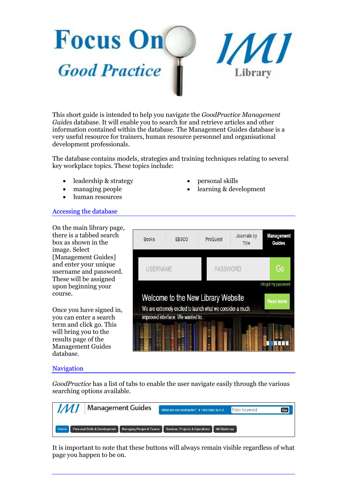



This short guide is intended to help you navigate the *GoodPractice Management Guides* database. It will enable you to search for and retrieve articles and other information contained within the database. The Management Guides database is a very useful resource for trainers, human resource personnel and organisational development professionals.

The database contains models, strategies and training techniques relating to several key workplace topics. These topics include:

- leadership & strategy
- managing people
- human resources
- Accessing the database

On the main library page, there is a tabbed search box as shown in the image. Select [Management Guides] and enter your unique username and password. These will be assigned upon beginning your course.

Once you have signed in, you can enter a search term and click go. This will bring you to the results page of the Management Guides database.



## Navigation

*GoodPractice* has a list of tabs to enable the user navigate easily through the various searching options available.

| IMI  | <b>Management Guides</b> |  | What are you looking for? ▶ Find topic by A-Z                                         | Enter keyword       | Go |
|------|--------------------------|--|---------------------------------------------------------------------------------------|---------------------|----|
| Home |                          |  | Personal Skills & Development Managing People & Teams Services, Projects & Operations | <b>IMI Diplomas</b> |    |

It is important to note that these buttons will always remain visible regardless of what page you happen to be on.

- personal skills
- learning & development